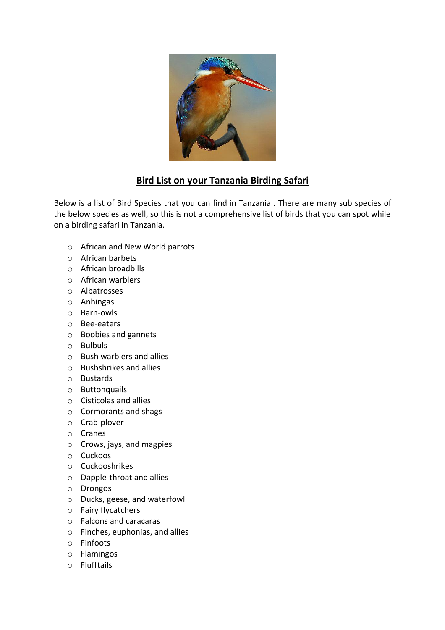

## **Bird List on your Tanzania Birding Safari**

Below is a list of Bird Species that you can find in Tanzania . There are many sub species of the below species as well, so this is not a comprehensive list of birds that you can spot while on a birding safari in Tanzania.

- o African and New World parrots
- o African barbets
- o African broadbills
- o African warblers
- o Albatrosses
- o Anhingas
- o Barn-owls
- o Bee-eaters
- o Boobies and gannets
- o Bulbuls
- o Bush warblers and allies
- o Bushshrikes and allies
- o Bustards
- o Buttonquails
- o Cisticolas and allies
- o Cormorants and shags
- o Crab-plover
- o Cranes
- o Crows, jays, and magpies
- o Cuckoos
- o Cuckooshrikes
- o Dapple-throat and allies
- o Drongos
- o Ducks, geese, and waterfowl
- o Fairy flycatchers
- o Falcons and caracaras
- o Finches, euphonias, and allies
- o Finfoots
- o Flamingos
- o Flufftails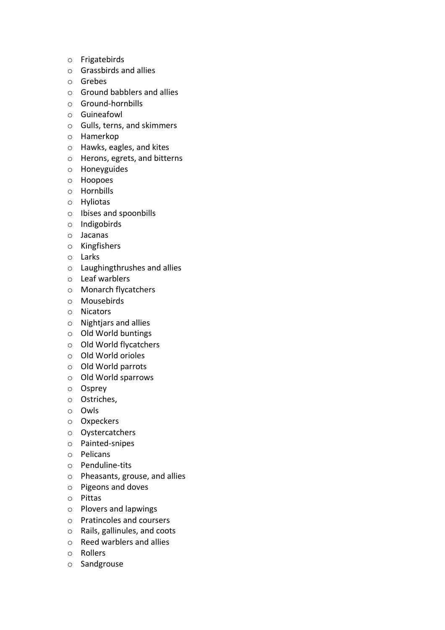- o Frigatebirds
- o Grassbirds and allies
- o Grebes
- o Ground babblers and allies
- o Ground-hornbills
- o Guineafowl
- o Gulls, terns, and skimmers
- o Hamerkop
- o Hawks, eagles, and kites
- o Herons, egrets, and bitterns
- o Honeyguides
- o Hoopoes
- o Hornbills
- o Hyliotas
- o Ibises and spoonbills
- o Indigobirds
- o Jacanas
- o Kingfishers
- o Larks
- o Laughingthrushes and allies
- o Leaf warblers
- o Monarch flycatchers
- o Mousebirds
- o Nicators
- o Nightjars and allies
- o Old World buntings
- o Old World flycatchers
- o Old World orioles
- o Old World parrots
- o Old World sparrows
- o Osprey
- o Ostriches,
- o Owls
- o Oxpeckers
- o Oystercatchers
- o Painted-snipes
- o Pelicans
- o Penduline-tits
- o Pheasants, grouse, and allies
- o Pigeons and doves
- o Pittas
- o Plovers and lapwings
- o Pratincoles and coursers
- o Rails, gallinules, and coots
- o Reed warblers and allies
- o Rollers
- o Sandgrouse